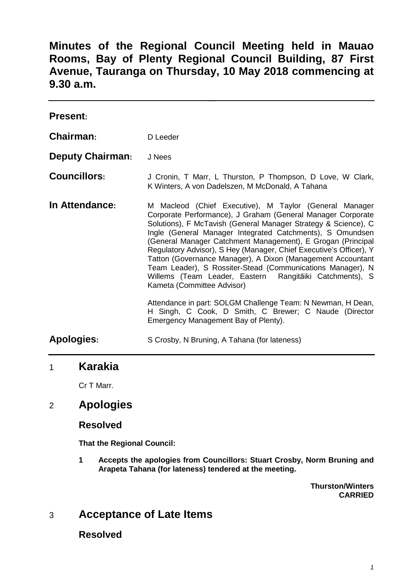**Minutes of the Regional Council Meeting held in Mauao Rooms, Bay of Plenty Regional Council Building, 87 First Avenue, Tauranga on Thursday, 10 May 2018 commencing at 9.30 a.m.** 

| <b>Present:</b>         |                                                                                                                                                                                                                                                                                                                                                                                                                                                                                                                                                                                                                                                                                                                                         |
|-------------------------|-----------------------------------------------------------------------------------------------------------------------------------------------------------------------------------------------------------------------------------------------------------------------------------------------------------------------------------------------------------------------------------------------------------------------------------------------------------------------------------------------------------------------------------------------------------------------------------------------------------------------------------------------------------------------------------------------------------------------------------------|
| Chairman:               | D Leeder                                                                                                                                                                                                                                                                                                                                                                                                                                                                                                                                                                                                                                                                                                                                |
| <b>Deputy Chairman:</b> | J Nees                                                                                                                                                                                                                                                                                                                                                                                                                                                                                                                                                                                                                                                                                                                                  |
| <b>Councillors:</b>     | J Cronin, T Marr, L Thurston, P Thompson, D Love, W Clark,<br>K Winters, A von Dadelszen, M McDonald, A Tahana                                                                                                                                                                                                                                                                                                                                                                                                                                                                                                                                                                                                                          |
| In Attendance:          | M Macleod (Chief Executive), M Taylor (General Manager<br>Corporate Performance), J Graham (General Manager Corporate<br>Solutions), F McTavish (General Manager Strategy & Science), C<br>Ingle (General Manager Integrated Catchments), S Omundsen<br>(General Manager Catchment Management), E Grogan (Principal<br>Regulatory Advisor), S Hey (Manager, Chief Executive's Officer), Y<br>Tatton (Governance Manager), A Dixon (Management Accountant<br>Team Leader), S Rossiter-Stead (Communications Manager), N<br>Willems (Team Leader, Eastern Rangitāiki Catchments), S<br>Kameta (Committee Advisor)<br>Attendance in part: SOLGM Challenge Team: N Newman, H Dean,<br>H Singh, C Cook, D Smith, C Brewer; C Naude (Director |
| <b>Apologies:</b>       | Emergency Management Bay of Plenty).<br>S Crosby, N Bruning, A Tahana (for lateness)                                                                                                                                                                                                                                                                                                                                                                                                                                                                                                                                                                                                                                                    |
|                         |                                                                                                                                                                                                                                                                                                                                                                                                                                                                                                                                                                                                                                                                                                                                         |

# 1 **Karakia**

Cr T Marr.

# 2 **Apologies**

### **Resolved**

**That the Regional Council:** 

**1 Accepts the apologies from Councillors: Stuart Crosby, Norm Bruning and Arapeta Tahana (for lateness) tendered at the meeting.** 

> **Thurston/Winters CARRIED**

# 3 **Acceptance of Late Items**

**Resolved**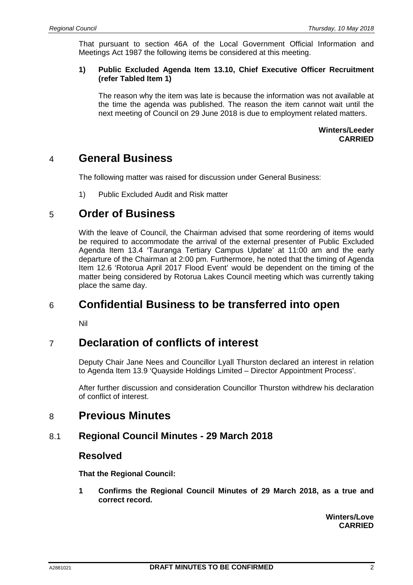That pursuant to section 46A of the Local Government Official Information and Meetings Act 1987 the following items be considered at this meeting.

### **1) Public Excluded Agenda Item 13.10, Chief Executive Officer Recruitment (refer Tabled Item 1)**

The reason why the item was late is because the information was not available at the time the agenda was published. The reason the item cannot wait until the next meeting of Council on 29 June 2018 is due to employment related matters.

### **Winters/Leeder CARRIED**

# 4 **General Business**

The following matter was raised for discussion under General Business:

1) Public Excluded Audit and Risk matter

# 5 **Order of Business**

With the leave of Council, the Chairman advised that some reordering of items would be required to accommodate the arrival of the external presenter of Public Excluded Agenda Item 13.4 'Tauranga Tertiary Campus Update' at 11:00 am and the early departure of the Chairman at 2:00 pm. Furthermore, he noted that the timing of Agenda Item 12.6 'Rotorua April 2017 Flood Event' would be dependent on the timing of the matter being considered by Rotorua Lakes Council meeting which was currently taking place the same day.

# 6 **Confidential Business to be transferred into open**

Nil

# 7 **Declaration of conflicts of interest**

Deputy Chair Jane Nees and Councillor Lyall Thurston declared an interest in relation to Agenda Item 13.9 'Quayside Holdings Limited – Director Appointment Process'.

After further discussion and consideration Councillor Thurston withdrew his declaration of conflict of interest.

# 8 **Previous Minutes**

### 8.1 **Regional Council Minutes - 29 March 2018**

### **Resolved**

**That the Regional Council:** 

**1 Confirms the Regional Council Minutes of 29 March 2018, as a true and correct record.** 

> **Winters/Love CARRIED**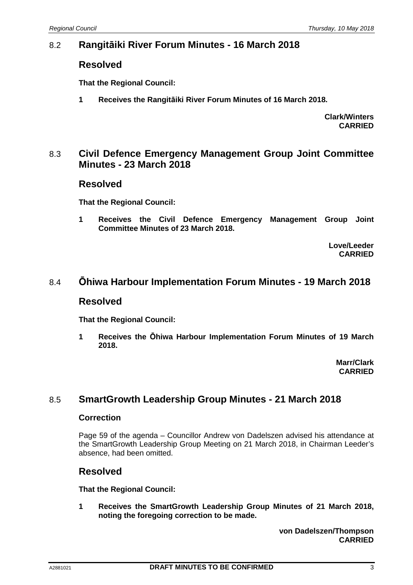## 8.2 **Rangitāiki River Forum Minutes - 16 March 2018**

### **Resolved**

**That the Regional Council:** 

**1 Receives the Rangitāiki River Forum Minutes of 16 March 2018.** 

**Clark/Winters CARRIED**

### 8.3 **Civil Defence Emergency Management Group Joint Committee Minutes - 23 March 2018**

### **Resolved**

**That the Regional Council:** 

**1 Receives the Civil Defence Emergency Management Group Joint Committee Minutes of 23 March 2018.** 

> **Love/Leeder CARRIED**

## 8.4 **Ōhiwa Harbour Implementation Forum Minutes - 19 March 2018**

### **Resolved**

**That the Regional Council:** 

**1 Receives the Ōhiwa Harbour Implementation Forum Minutes of 19 March 2018.** 

> **Marr/Clark CARRIED**

## 8.5 **SmartGrowth Leadership Group Minutes - 21 March 2018**

### **Correction**

Page 59 of the agenda – Councillor Andrew von Dadelszen advised his attendance at the SmartGrowth Leadership Group Meeting on 21 March 2018, in Chairman Leeder's absence, had been omitted.

## **Resolved**

**That the Regional Council:** 

**1 Receives the SmartGrowth Leadership Group Minutes of 21 March 2018, noting the foregoing correction to be made.** 

> **von Dadelszen/Thompson CARRIED**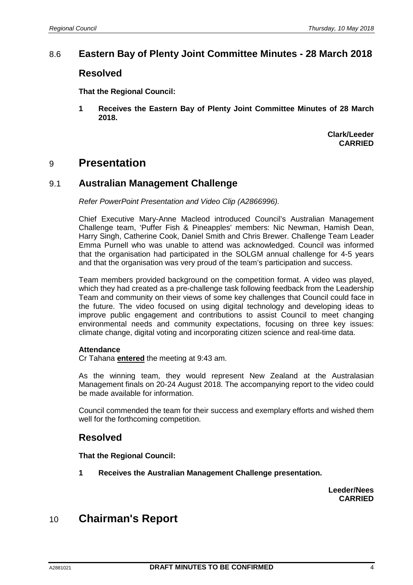## 8.6 **Eastern Bay of Plenty Joint Committee Minutes - 28 March 2018**

### **Resolved**

**That the Regional Council:** 

**1 Receives the Eastern Bay of Plenty Joint Committee Minutes of 28 March 2018.** 

> **Clark/Leeder CARRIED**

# 9 **Presentation**

### 9.1 **Australian Management Challenge**

Refer PowerPoint Presentation and Video Clip (A2866996).

Chief Executive Mary-Anne Macleod introduced Council's Australian Management Challenge team, 'Puffer Fish & Pineapples' members: Nic Newman, Hamish Dean, Harry Singh, Catherine Cook, Daniel Smith and Chris Brewer. Challenge Team Leader Emma Purnell who was unable to attend was acknowledged. Council was informed that the organisation had participated in the SOLGM annual challenge for 4-5 years and that the organisation was very proud of the team's participation and success.

Team members provided background on the competition format. A video was played, which they had created as a pre-challenge task following feedback from the Leadership Team and community on their views of some key challenges that Council could face in the future. The video focused on using digital technology and developing ideas to improve public engagement and contributions to assist Council to meet changing environmental needs and community expectations, focusing on three key issues: climate change, digital voting and incorporating citizen science and real-time data.

### **Attendance**

Cr Tahana **entered** the meeting at 9:43 am.

As the winning team, they would represent New Zealand at the Australasian Management finals on 20-24 August 2018. The accompanying report to the video could be made available for information.

Council commended the team for their success and exemplary efforts and wished them well for the forthcoming competition.

## **Resolved**

**That the Regional Council:** 

**1 Receives the Australian Management Challenge presentation.** 

**Leeder/Nees CARRIED** 

# 10 **Chairman's Report**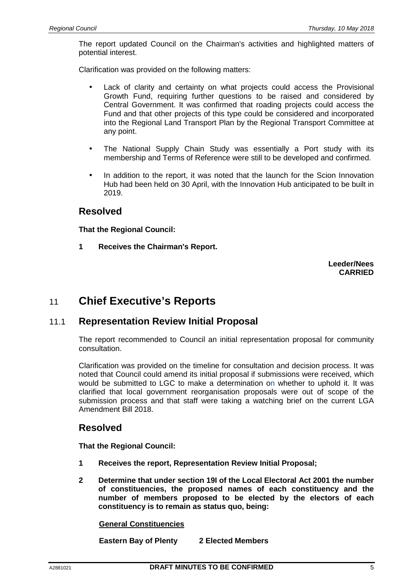The report updated Council on the Chairman's activities and highlighted matters of potential interest.

Clarification was provided on the following matters:

- Lack of clarity and certainty on what projects could access the Provisional Growth Fund, requiring further questions to be raised and considered by Central Government. It was confirmed that roading projects could access the Fund and that other projects of this type could be considered and incorporated into the Regional Land Transport Plan by the Regional Transport Committee at any point.
- The National Supply Chain Study was essentially a Port study with its membership and Terms of Reference were still to be developed and confirmed.
- In addition to the report, it was noted that the launch for the Scion Innovation Hub had been held on 30 April, with the Innovation Hub anticipated to be built in 2019.

### **Resolved**

**That the Regional Council:** 

**1 Receives the Chairman's Report.** 

**Leeder/Nees CARRIED** 

# 11 **Chief Executive's Reports**

### 11.1 **Representation Review Initial Proposal**

The report recommended to Council an initial representation proposal for community consultation.

Clarification was provided on the timeline for consultation and decision process. It was noted that Council could amend its initial proposal if submissions were received, which would be submitted to LGC to make a determination on whether to uphold it. It was clarified that local government reorganisation proposals were out of scope of the submission process and that staff were taking a watching brief on the current LGA Amendment Bill 2018.

## **Resolved**

**That the Regional Council:** 

- **1 Receives the report, Representation Review Initial Proposal;**
- **2 Determine that under section 19I of the Local Electoral Act 2001 the number of constituencies, the proposed names of each constituency and the number of members proposed to be elected by the electors of each constituency is to remain as status quo, being:**

### **General Constituencies**

 **Eastern Bay of Plenty 2 Elected Members**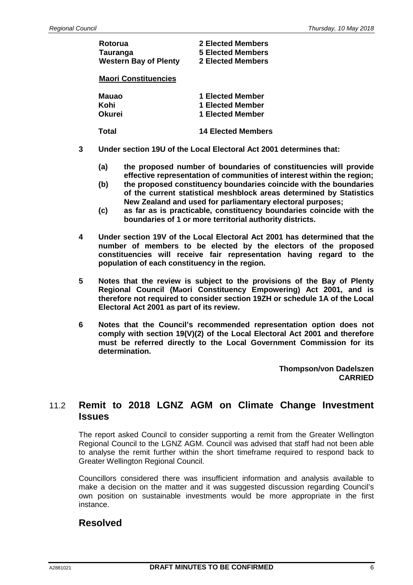| Rotorua                      | <b>2 Elected Members</b>  |
|------------------------------|---------------------------|
| Tauranga                     | <b>5 Elected Members</b>  |
| <b>Western Bay of Plenty</b> | <b>2 Elected Members</b>  |
| <b>Maori Constituencies</b>  |                           |
| Mauao                        | 1 Elected Member          |
| Kohi                         | 1 Elected Member          |
| Okurei                       | 1 Elected Member          |
| Total                        | <b>14 Elected Members</b> |

- **3 Under section 19U of the Local Electoral Act 2001 determines that:** 
	- **(a) the proposed number of boundaries of constituencies will provide effective representation of communities of interest within the region;**
	- **(b) the proposed constituency boundaries coincide with the boundaries of the current statistical meshblock areas determined by Statistics New Zealand and used for parliamentary electoral purposes;**
	- **(c) as far as is practicable, constituency boundaries coincide with the boundaries of 1 or more territorial authority districts.**
- **4 Under section 19V of the Local Electoral Act 2001 has determined that the number of members to be elected by the electors of the proposed constituencies will receive fair representation having regard to the population of each constituency in the region.**
- **5 Notes that the review is subject to the provisions of the Bay of Plenty Regional Council (Maori Constituency Empowering) Act 2001, and is therefore not required to consider section 19ZH or schedule 1A of the Local Electoral Act 2001 as part of its review.**
- **6 Notes that the Council's recommended representation option does not comply with section 19(V)(2) of the Local Electoral Act 2001 and therefore must be referred directly to the Local Government Commission for its determination.**

**Thompson/von Dadelszen CARRIED** 

## 11.2 **Remit to 2018 LGNZ AGM on Climate Change Investment Issues**

The report asked Council to consider supporting a remit from the Greater Wellington Regional Council to the LGNZ AGM. Council was advised that staff had not been able to analyse the remit further within the short timeframe required to respond back to Greater Wellington Regional Council.

Councillors considered there was insufficient information and analysis available to make a decision on the matter and it was suggested discussion regarding Council's own position on sustainable investments would be more appropriate in the first instance.

## **Resolved**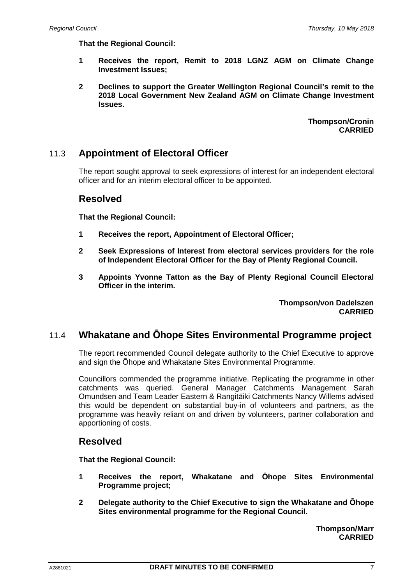**That the Regional Council:** 

- **1 Receives the report, Remit to 2018 LGNZ AGM on Climate Change Investment Issues;**
- **2 Declines to support the Greater Wellington Regional Council's remit to the 2018 Local Government New Zealand AGM on Climate Change Investment Issues.**

**Thompson/Cronin CARRIED** 

## 11.3 **Appointment of Electoral Officer**

The report sought approval to seek expressions of interest for an independent electoral officer and for an interim electoral officer to be appointed.

### **Resolved**

**That the Regional Council:** 

- **1 Receives the report, Appointment of Electoral Officer;**
- **2 Seek Expressions of Interest from electoral services providers for the role of Independent Electoral Officer for the Bay of Plenty Regional Council.**
- **3 Appoints Yvonne Tatton as the Bay of Plenty Regional Council Electoral Officer in the interim.**

**Thompson/von Dadelszen CARRIED** 

### 11.4 **Whakatane and Ōhope Sites Environmental Programme project**

The report recommended Council delegate authority to the Chief Executive to approve and sign the Ōhope and Whakatane Sites Environmental Programme.

Councillors commended the programme initiative. Replicating the programme in other catchments was queried. General Manager Catchments Management Sarah Omundsen and Team Leader Eastern & Rangitāiki Catchments Nancy Willems advised this would be dependent on substantial buy-in of volunteers and partners, as the programme was heavily reliant on and driven by volunteers, partner collaboration and apportioning of costs.

### **Resolved**

**That the Regional Council:** 

- **1 Receives the report, Whakatane and Ōhope Sites Environmental Programme project;**
- **2 Delegate authority to the Chief Executive to sign the Whakatane and Ōhope Sites environmental programme for the Regional Council.**

**Thompson/Marr CARRIED**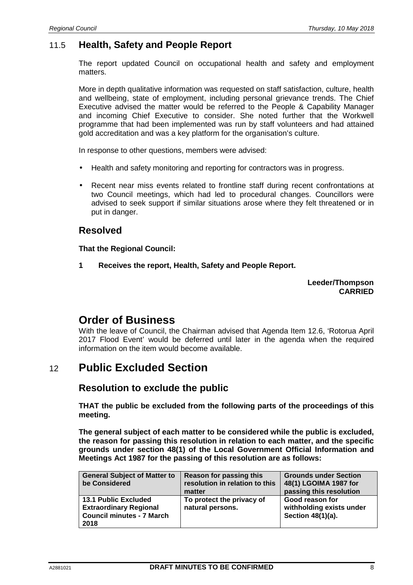# 11.5 **Health, Safety and People Report**

The report updated Council on occupational health and safety and employment matters.

More in depth qualitative information was requested on staff satisfaction, culture, health and wellbeing, state of employment, including personal grievance trends. The Chief Executive advised the matter would be referred to the People & Capability Manager and incoming Chief Executive to consider. She noted further that the Workwell programme that had been implemented was run by staff volunteers and had attained gold accreditation and was a key platform for the organisation's culture.

In response to other questions, members were advised:

- Health and safety monitoring and reporting for contractors was in progress.
- Recent near miss events related to frontline staff during recent confrontations at two Council meetings, which had led to procedural changes. Councillors were advised to seek support if similar situations arose where they felt threatened or in put in danger.

### **Resolved**

**That the Regional Council:** 

**1 Receives the report, Health, Safety and People Report.** 

**Leeder/Thompson CARRIED** 

# **Order of Business**

With the leave of Council, the Chairman advised that Agenda Item 12.6, 'Rotorua April 2017 Flood Event' would be deferred until later in the agenda when the required information on the item would become available.

# 12 **Public Excluded Section**

## **Resolution to exclude the public**

**THAT the public be excluded from the following parts of the proceedings of this meeting.** 

**The general subject of each matter to be considered while the public is excluded, the reason for passing this resolution in relation to each matter, and the specific grounds under section 48(1) of the Local Government Official Information and Meetings Act 1987 for the passing of this resolution are as follows:** 

| <b>General Subject of Matter to</b><br>be Considered                                                     | Reason for passing this<br>resolution in relation to this<br>matter | <b>Grounds under Section</b><br>48(1) LGOIMA 1987 for<br>passing this resolution |
|----------------------------------------------------------------------------------------------------------|---------------------------------------------------------------------|----------------------------------------------------------------------------------|
| <b>13.1 Public Excluded</b><br><b>Extraordinary Regional</b><br><b>Council minutes - 7 March</b><br>2018 | To protect the privacy of<br>natural persons.                       | Good reason for<br>withholding exists under<br>Section 48(1)(a).                 |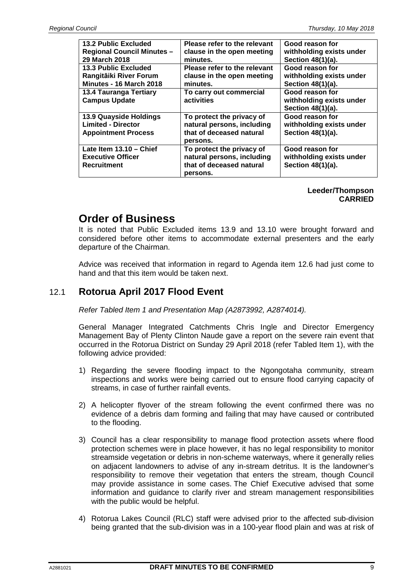| <b>13.2 Public Excluded</b><br><b>Regional Council Minutes -</b><br>29 March 2018 | Please refer to the relevant<br>clause in the open meeting<br>minutes.                          | Good reason for<br>withholding exists under<br>Section 48(1)(a). |
|-----------------------------------------------------------------------------------|-------------------------------------------------------------------------------------------------|------------------------------------------------------------------|
| <b>13.3 Public Excluded</b><br>Rangitāiki River Forum<br>Minutes - 16 March 2018  | Please refer to the relevant<br>clause in the open meeting<br>minutes.                          | Good reason for<br>withholding exists under<br>Section 48(1)(a). |
| 13.4 Tauranga Tertiary<br><b>Campus Update</b>                                    | To carry out commercial<br>activities                                                           | Good reason for<br>withholding exists under<br>Section 48(1)(a). |
| 13.9 Quayside Holdings<br><b>Limited - Director</b><br><b>Appointment Process</b> | To protect the privacy of<br>natural persons, including<br>that of deceased natural<br>persons. | Good reason for<br>withholding exists under<br>Section 48(1)(a). |
| Late Item $13.10 -$ Chief<br><b>Executive Officer</b><br><b>Recruitment</b>       | To protect the privacy of<br>natural persons, including<br>that of deceased natural<br>persons. | Good reason for<br>withholding exists under<br>Section 48(1)(a). |

#### **Leeder/Thompson CARRIED**

# **Order of Business**

It is noted that Public Excluded items 13.9 and 13.10 were brought forward and considered before other items to accommodate external presenters and the early departure of the Chairman.

Advice was received that information in regard to Agenda item 12.6 had just come to hand and that this item would be taken next.

## 12.1 **Rotorua April 2017 Flood Event**

Refer Tabled Item 1 and Presentation Map (A2873992, A2874014).

General Manager Integrated Catchments Chris Ingle and Director Emergency Management Bay of Plenty Clinton Naude gave a report on the severe rain event that occurred in the Rotorua District on Sunday 29 April 2018 (refer Tabled Item 1), with the following advice provided:

- 1) Regarding the severe flooding impact to the Ngongotaha community, stream inspections and works were being carried out to ensure flood carrying capacity of streams, in case of further rainfall events.
- 2) A helicopter flyover of the stream following the event confirmed there was no evidence of a debris dam forming and failing that may have caused or contributed to the flooding.
- 3) Council has a clear responsibility to manage flood protection assets where flood protection schemes were in place however, it has no legal responsibility to monitor streamside vegetation or debris in non-scheme waterways, where it generally relies on adjacent landowners to advise of any in-stream detritus. It is the landowner's responsibility to remove their vegetation that enters the stream, though Council may provide assistance in some cases. The Chief Executive advised that some information and guidance to clarify river and stream management responsibilities with the public would be helpful.
- 4) Rotorua Lakes Council (RLC) staff were advised prior to the affected sub-division being granted that the sub-division was in a 100-year flood plain and was at risk of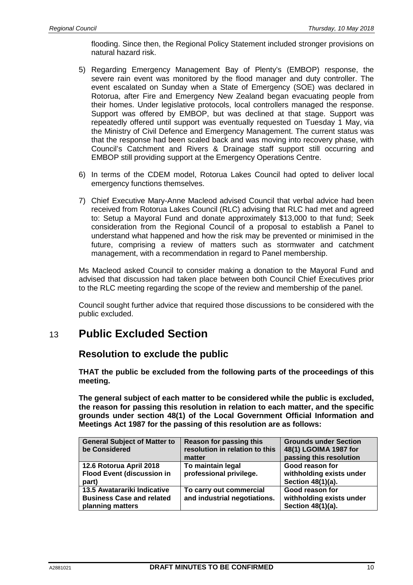flooding. Since then, the Regional Policy Statement included stronger provisions on natural hazard risk.

- 5) Regarding Emergency Management Bay of Plenty's (EMBOP) response, the severe rain event was monitored by the flood manager and duty controller. The event escalated on Sunday when a State of Emergency (SOE) was declared in Rotorua, after Fire and Emergency New Zealand began evacuating people from their homes. Under legislative protocols, local controllers managed the response. Support was offered by EMBOP, but was declined at that stage. Support was repeatedly offered until support was eventually requested on Tuesday 1 May, via the Ministry of Civil Defence and Emergency Management. The current status was that the response had been scaled back and was moving into recovery phase, with Council's Catchment and Rivers & Drainage staff support still occurring and EMBOP still providing support at the Emergency Operations Centre.
- 6) In terms of the CDEM model, Rotorua Lakes Council had opted to deliver local emergency functions themselves.
- 7) Chief Executive Mary-Anne Macleod advised Council that verbal advice had been received from Rotorua Lakes Council (RLC) advising that RLC had met and agreed to: Setup a Mayoral Fund and donate approximately \$13,000 to that fund; Seek consideration from the Regional Council of a proposal to establish a Panel to understand what happened and how the risk may be prevented or minimised in the future, comprising a review of matters such as stormwater and catchment management, with a recommendation in regard to Panel membership.

Ms Macleod asked Council to consider making a donation to the Mayoral Fund and advised that discussion had taken place between both Council Chief Executives prior to the RLC meeting regarding the scope of the review and membership of the panel.

Council sought further advice that required those discussions to be considered with the public excluded.

# 13 **Public Excluded Section**

## **Resolution to exclude the public**

**THAT the public be excluded from the following parts of the proceedings of this meeting.** 

**The general subject of each matter to be considered while the public is excluded, the reason for passing this resolution in relation to each matter, and the specific grounds under section 48(1) of the Local Government Official Information and Meetings Act 1987 for the passing of this resolution are as follows:** 

| <b>General Subject of Matter to</b><br>be Considered                                | Reason for passing this<br>resolution in relation to this<br>matter | <b>Grounds under Section</b><br>48(1) LGOIMA 1987 for<br>passing this resolution |
|-------------------------------------------------------------------------------------|---------------------------------------------------------------------|----------------------------------------------------------------------------------|
| 12.6 Rotorua April 2018<br><b>Flood Event (discussion in</b><br>part)               | To maintain legal<br>professional privilege.                        | Good reason for<br>withholding exists under<br>Section 48(1)(a).                 |
| 13.5 Awatarariki Indicative<br><b>Business Case and related</b><br>planning matters | To carry out commercial<br>and industrial negotiations.             | Good reason for<br>withholding exists under<br>Section 48(1)(a).                 |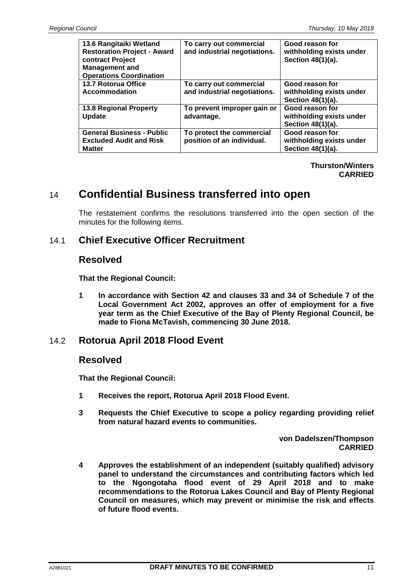| 13.6 Rangitaiki Wetland<br><b>Restoration Project - Award</b><br>contract Project<br><b>Management and</b><br><b>Operations Coordination</b> | To carry out commercial<br>and industrial negotiations. | Good reason for<br>withholding exists under<br>Section 48(1)(a). |
|----------------------------------------------------------------------------------------------------------------------------------------------|---------------------------------------------------------|------------------------------------------------------------------|
| 13.7 Rotorua Office<br>Accommodation                                                                                                         | To carry out commercial<br>and industrial negotiations. | Good reason for<br>withholding exists under<br>Section 48(1)(a). |
| <b>13.8 Regional Property</b><br>Update                                                                                                      | To prevent improper gain or<br>advantage.               | Good reason for<br>withholding exists under<br>Section 48(1)(a). |
| <b>General Business - Public</b><br><b>Excluded Audit and Risk</b><br><b>Matter</b>                                                          | To protect the commercial<br>position of an individual. | Good reason for<br>withholding exists under<br>Section 48(1)(a). |

#### **Thurston/Winters CARRIED**

# 14 **Confidential Business transferred into open**

The restatement confirms the resolutions transferred into the open section of the minutes for the following items.

### 14.1 **Chief Executive Officer Recruitment**

### **Resolved**

**That the Regional Council:** 

**1 In accordance with Section 42 and clauses 33 and 34 of Schedule 7 of the Local Government Act 2002, approves an offer of employment for a five year term as the Chief Executive of the Bay of Plenty Regional Council, be made to Fiona McTavish, commencing 30 June 2018.** 

### 14.2 **Rotorua April 2018 Flood Event**

### **Resolved**

**That the Regional Council:** 

- **1 Receives the report, Rotorua April 2018 Flood Event.**
- **3 Requests the Chief Executive to scope a policy regarding providing relief from natural hazard events to communities.**

**von Dadelszen/Thompson CARRIED** 

**4 Approves the establishment of an independent (suitably qualified) advisory panel to understand the circumstances and contributing factors which led to the Ngongotaha flood event of 29 April 2018 and to make recommendations to the Rotorua Lakes Council and Bay of Plenty Regional Council on measures, which may prevent or minimise the risk and effects of future flood events.**